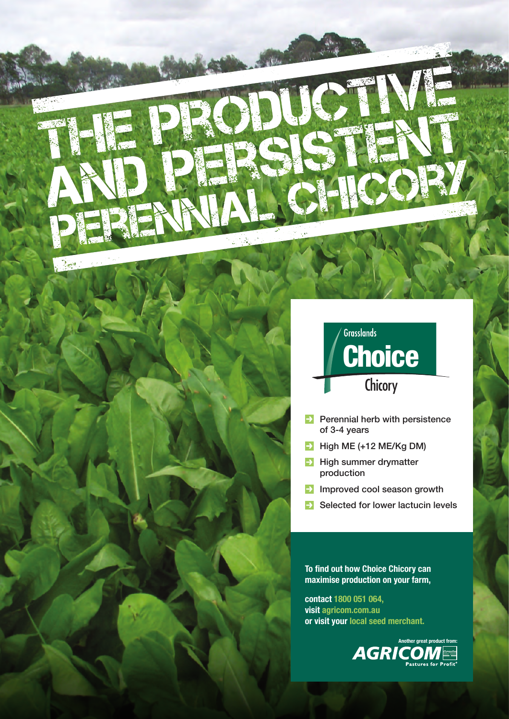

- $\rightarrow$  Perennial herb with persistence of 3-4 years
- $\blacktriangleright$  High ME (+12 ME/Kg DM)
- $\rightarrow$  High summer drymatter production
- $\rightarrow$  Improved cool season growth
- $\rightarrow$  Selected for lower lactucin levels

**To find out how Choice Chicory can maximise production on your farm,** 

**contact 1800 051 064, visit agricom.com.au or visit your local seed merchant.**